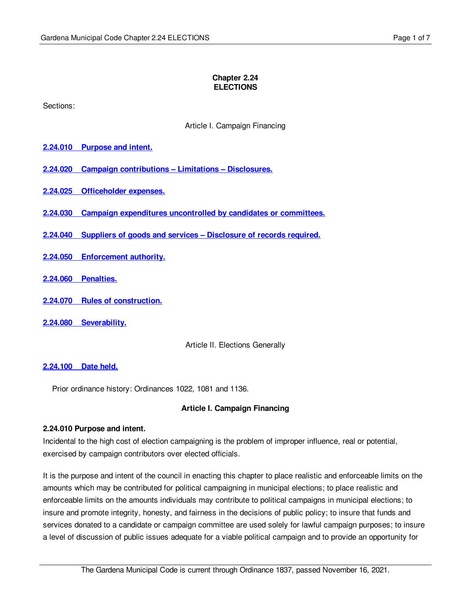#### **Chapter 2.24 ELECTIONS**

Sections:

Article I. Campaign Financing

- **2.24.010 [Purpose](#page-0-0) and intent.**
- **2.24.020 Campaign [contributions](#page-1-0) – Limitations – Disclosures.**
- **2.24.025 [Officeholder](#page-4-0) expenses.**
- **2.24.030 Campaign [expenditures](#page-5-0) uncontrolled by candidates or committees.**
- **2.24.040 Suppliers of goods and services – [Disclosure](#page-5-1) of records required.**
- **2.24.050 [Enforcement](#page-5-2) authority.**
- **2.24.060 [Penalties.](#page-5-3)**
- **2.24.070 Rules of [construction.](#page-5-4)**
- **2.24.080 [Severability.](#page-5-5)**

Article II. Elections Generally

### **[2.24.100](#page-5-6) Date held.**

Prior ordinance history: Ordinances 1022, 1081 and 1136.

### **Article I. Campaign Financing**

### <span id="page-0-0"></span>**2.24.010 Purpose and intent.**

Incidental to the high cost of election campaigning is the problem of improper influence, real or potential, exercised by campaign contributors over elected officials.

It is the purpose and intent of the council in enacting this chapter to place realistic and enforceable limits on the amounts which may be contributed for political campaigning in municipal elections; to place realistic and enforceable limits on the amounts individuals may contribute to political campaigns in municipal elections; to insure and promote integrity, honesty, and fairness in the decisions of public policy; to insure that funds and services donated to a candidate or campaign committee are used solely for lawful campaign purposes; to insure a level of discussion of public issues adequate for a viable political campaign and to provide an opportunity for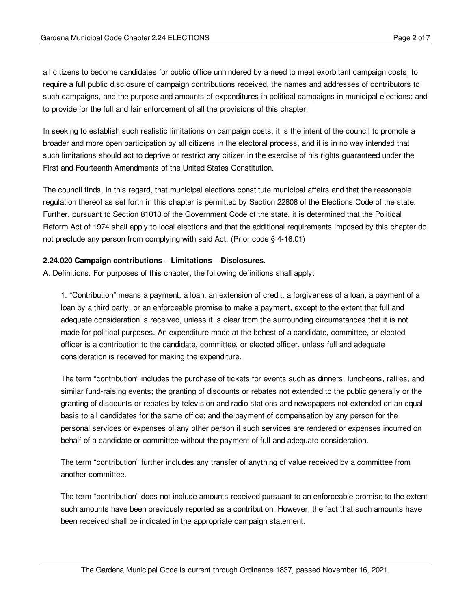all citizens to become candidates for public office unhindered by a need to meet exorbitant campaign costs; to require a full public disclosure of campaign contributions received, the names and addresses of contributors to such campaigns, and the purpose and amounts of expenditures in political campaigns in municipal elections; and to provide for the full and fair enforcement of all the provisions of this chapter.

In seeking to establish such realistic limitations on campaign costs, it is the intent of the council to promote a broader and more open participation by all citizens in the electoral process, and it is in no way intended that such limitations should act to deprive or restrict any citizen in the exercise of his rights guaranteed under the First and Fourteenth Amendments of the United States Constitution.

The council finds, in this regard, that municipal elections constitute municipal affairs and that the reasonable regulation thereof as set forth in this chapter is permitted by Section 22808 of the Elections Code of the state. Further, pursuant to Section 81013 of the Government Code of the state, it is determined that the Political Reform Act of 1974 shall apply to local elections and that the additional requirements imposed by this chapter do not preclude any person from complying with said Act. (Prior code § 4-16.01)

### <span id="page-1-0"></span>**2.24.020 Campaign contributions – Limitations – Disclosures.**

A. Definitions. For purposes of this chapter, the following definitions shall apply:

1. "Contribution" means a payment, a loan, an extension of credit, a forgiveness of a loan, a payment of a loan by a third party, or an enforceable promise to make a payment, except to the extent that full and adequate consideration is received, unless it is clear from the surrounding circumstances that it is not made for political purposes. An expenditure made at the behest of a candidate, committee, or elected officer is a contribution to the candidate, committee, or elected officer, unless full and adequate consideration is received for making the expenditure.

The term "contribution" includes the purchase of tickets for events such as dinners, luncheons, rallies, and similar fund-raising events; the granting of discounts or rebates not extended to the public generally or the granting of discounts or rebates by television and radio stations and newspapers not extended on an equal basis to all candidates for the same office; and the payment of compensation by any person for the personal services or expenses of any other person if such services are rendered or expenses incurred on behalf of a candidate or committee without the payment of full and adequate consideration.

The term "contribution" further includes any transfer of anything of value received by a committee from another committee.

The term "contribution" does not include amounts received pursuant to an enforceable promise to the extent such amounts have been previously reported as a contribution. However, the fact that such amounts have been received shall be indicated in the appropriate campaign statement.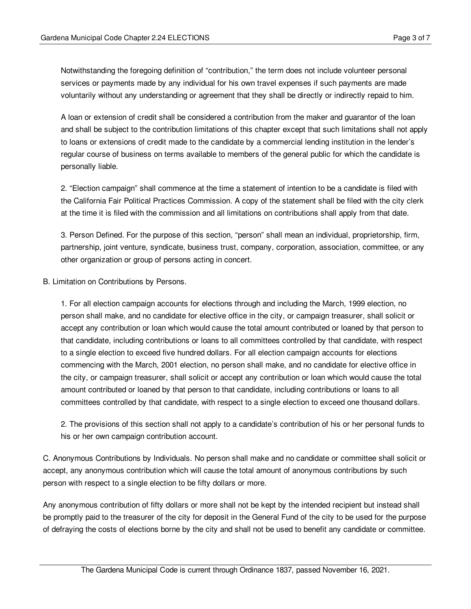Notwithstanding the foregoing definition of "contribution," the term does not include volunteer personal services or payments made by any individual for his own travel expenses if such payments are made voluntarily without any understanding or agreement that they shall be directly or indirectly repaid to him.

A loan or extension of credit shall be considered a contribution from the maker and guarantor of the loan and shall be subject to the contribution limitations of this chapter except that such limitations shall not apply to loans or extensions of credit made to the candidate by a commercial lending institution in the lender's regular course of business on terms available to members of the general public for which the candidate is personally liable.

2. "Election campaign" shall commence at the time a statement of intention to be a candidate is filed with the California Fair Political Practices Commission. A copy of the statement shall be filed with the city clerk at the time it is filed with the commission and all limitations on contributions shall apply from that date.

3. Person Defined. For the purpose of this section, "person" shall mean an individual, proprietorship, firm, partnership, joint venture, syndicate, business trust, company, corporation, association, committee, or any other organization or group of persons acting in concert.

B. Limitation on Contributions by Persons.

1. For all election campaign accounts for elections through and including the March, 1999 election, no person shall make, and no candidate for elective office in the city, or campaign treasurer, shall solicit or accept any contribution or loan which would cause the total amount contributed or loaned by that person to that candidate, including contributions or loans to all committees controlled by that candidate, with respect to a single election to exceed five hundred dollars. For all election campaign accounts for elections commencing with the March, 2001 election, no person shall make, and no candidate for elective office in the city, or campaign treasurer, shall solicit or accept any contribution or loan which would cause the total amount contributed or loaned by that person to that candidate, including contributions or loans to all committees controlled by that candidate, with respect to a single election to exceed one thousand dollars.

2. The provisions of this section shall not apply to a candidate's contribution of his or her personal funds to his or her own campaign contribution account.

C. Anonymous Contributions by Individuals. No person shall make and no candidate or committee shall solicit or accept, any anonymous contribution which will cause the total amount of anonymous contributions by such person with respect to a single election to be fifty dollars or more.

Any anonymous contribution of fifty dollars or more shall not be kept by the intended recipient but instead shall be promptly paid to the treasurer of the city for deposit in the General Fund of the city to be used for the purpose of defraying the costs of elections borne by the city and shall not be used to benefit any candidate or committee.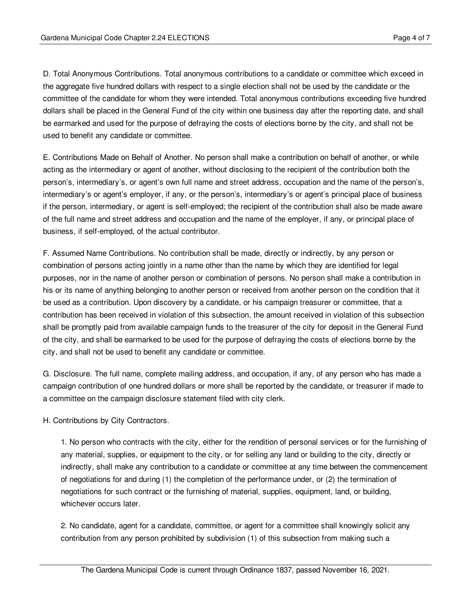D. Total Anonymous Contributions. Total anonymous contributions to a candidate or committee which exceed in the aggregate five hundred dollars with respect to a single election shall not be used by the candidate or the committee of the candidate for whom they were intended. Total anonymous contributions exceeding five hundred dollars shall be placed in the General Fund of the city within one business day after the reporting date, and shall be earmarked and used for the purpose of defraying the costs of elections borne by the city, and shall not be used to benefit any candidate or committee.

E. Contributions Made on Behalf of Another. No person shall make a contribution on behalf of another, or while acting as the intermediary or agent of another, without disclosing to the recipient of the contribution both the person's, intermediary's, or agent's own full name and street address, occupation and the name of the person's, intermediary's or agent's employer, if any, or the person's, intermediary's or agent's principal place of business if the person, intermediary, or agent is self-employed; the recipient of the contribution shall also be made aware of the full name and street address and occupation and the name of the employer, if any, or principal place of business, if self-employed, of the actual contributor.

F. Assumed Name Contributions. No contribution shall be made, directly or indirectly, by any person or combination of persons acting jointly in a name other than the name by which they are identified for legal purposes, nor in the name of another person or combination of persons. No person shall make a contribution in his or its name of anything belonging to another person or received from another person on the condition that it be used as a contribution. Upon discovery by a candidate, or his campaign treasurer or committee, that a contribution has been received in violation of this subsection, the amount received in violation of this subsection shall be promptly paid from available campaign funds to the treasurer of the city for deposit in the General Fund of the city, and shall be earmarked to be used for the purpose of defraying the costs of elections borne by the city, and shall not be used to benefit any candidate or committee.

G. Disclosure. The full name, complete mailing address, and occupation, if any, of any person who has made a campaign contribution of one hundred dollars or more shall be reported by the candidate, or treasurer if made to a committee on the campaign disclosure statement filed with city clerk.

H. Contributions by City Contractors.

1. No person who contracts with the city, either for the rendition of personal services or for the furnishing of any material, supplies, or equipment to the city, or for selling any land or building to the city, directly or indirectly, shall make any contribution to a candidate or committee at any time between the commencement of negotiations for and during (1) the completion of the performance under, or (2) the termination of negotiations for such contract or the furnishing of material, supplies, equipment, land, or building, whichever occurs later.

2. No candidate, agent for a candidate, committee, or agent for a committee shall knowingly solicit any contribution from any person prohibited by subdivision (1) of this subsection from making such a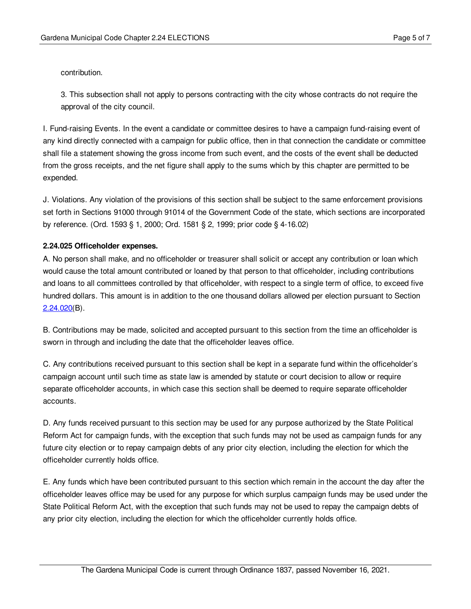contribution.

3. This subsection shall not apply to persons contracting with the city whose contracts do not require the approval of the city council.

I. Fund-raising Events. In the event a candidate or committee desires to have a campaign fund-raising event of any kind directly connected with a campaign for public office, then in that connection the candidate or committee shall file a statement showing the gross income from such event, and the costs of the event shall be deducted from the gross receipts, and the net figure shall apply to the sums which by this chapter are permitted to be expended.

J. Violations. Any violation of the provisions of this section shall be subject to the same enforcement provisions set forth in Sections 91000 through 91014 of the Government Code of the state, which sections are incorporated by reference. (Ord. 1593 § 1, 2000; Ord. 1581 § 2, 1999; prior code § 4-16.02)

# <span id="page-4-0"></span>**2.24.025 Officeholder expenses.**

A. No person shall make, and no officeholder or treasurer shall solicit or accept any contribution or loan which would cause the total amount contributed or loaned by that person to that officeholder, including contributions and loans to all committees controlled by that officeholder, with respect to a single term of office, to exceed five hundred dollars. This amount is in addition to the one thousand dollars allowed per election pursuant to Section  $2.24.020(B)$  $2.24.020(B)$ .

B. Contributions may be made, solicited and accepted pursuant to this section from the time an officeholder is sworn in through and including the date that the officeholder leaves office.

C. Any contributions received pursuant to this section shall be kept in a separate fund within the officeholder's campaign account until such time as state law is amended by statute or court decision to allow or require separate officeholder accounts, in which case this section shall be deemed to require separate officeholder accounts.

D. Any funds received pursuant to this section may be used for any purpose authorized by the State Political Reform Act for campaign funds, with the exception that such funds may not be used as campaign funds for any future city election or to repay campaign debts of any prior city election, including the election for which the officeholder currently holds office.

E. Any funds which have been contributed pursuant to this section which remain in the account the day after the officeholder leaves office may be used for any purpose for which surplus campaign funds may be used under the State Political Reform Act, with the exception that such funds may not be used to repay the campaign debts of any prior city election, including the election for which the officeholder currently holds office.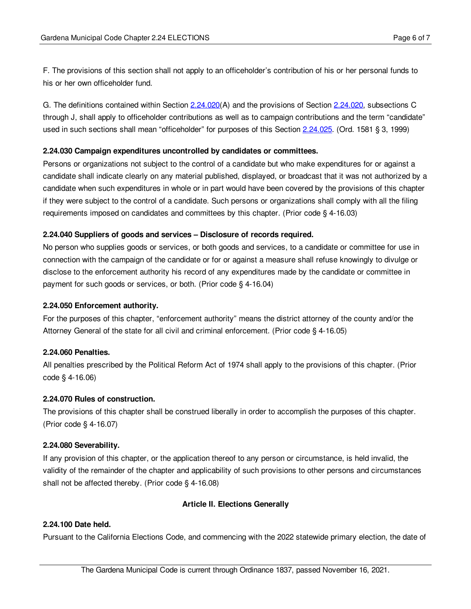F. The provisions of this section shall not apply to an officeholder's contribution of his or her personal funds to his or her own officeholder fund.

G. The definitions contained within Section [2.24.020](#page-1-0)(A) and the provisions of Section 2.24.020, subsections C through J, shall apply to officeholder contributions as well as to campaign contributions and the term "candidate" used in such sections shall mean "officeholder" for purposes of this Section [2.24.025](#page-4-0). (Ord. 1581 § 3, 1999)

### <span id="page-5-0"></span>**2.24.030 Campaign expenditures uncontrolled by candidates or committees.**

Persons or organizations not subject to the control of a candidate but who make expenditures for or against a candidate shall indicate clearly on any material published, displayed, or broadcast that it was not authorized by a candidate when such expenditures in whole or in part would have been covered by the provisions of this chapter if they were subject to the control of a candidate. Such persons or organizations shall comply with all the filing requirements imposed on candidates and committees by this chapter. (Prior code § 4-16.03)

# <span id="page-5-1"></span>**2.24.040 Suppliers of goods and services – Disclosure of records required.**

No person who supplies goods or services, or both goods and services, to a candidate or committee for use in connection with the campaign of the candidate or for or against a measure shall refuse knowingly to divulge or disclose to the enforcement authority his record of any expenditures made by the candidate or committee in payment for such goods or services, or both. (Prior code § 4-16.04)

### <span id="page-5-2"></span>**2.24.050 Enforcement authority.**

For the purposes of this chapter, "enforcement authority" means the district attorney of the county and/or the Attorney General of the state for all civil and criminal enforcement. (Prior code § 4-16.05)

# <span id="page-5-3"></span>**2.24.060 Penalties.**

All penalties prescribed by the Political Reform Act of 1974 shall apply to the provisions of this chapter. (Prior code § 4-16.06)

### <span id="page-5-4"></span>**2.24.070 Rules of construction.**

The provisions of this chapter shall be construed liberally in order to accomplish the purposes of this chapter. (Prior code § 4-16.07)

### <span id="page-5-5"></span>**2.24.080 Severability.**

If any provision of this chapter, or the application thereof to any person or circumstance, is held invalid, the validity of the remainder of the chapter and applicability of such provisions to other persons and circumstances shall not be affected thereby. (Prior code § 4-16.08)

# **Article II. Elections Generally**

# <span id="page-5-6"></span>**2.24.100 Date held.**

Pursuant to the California Elections Code, and commencing with the 2022 statewide primary election, the date of